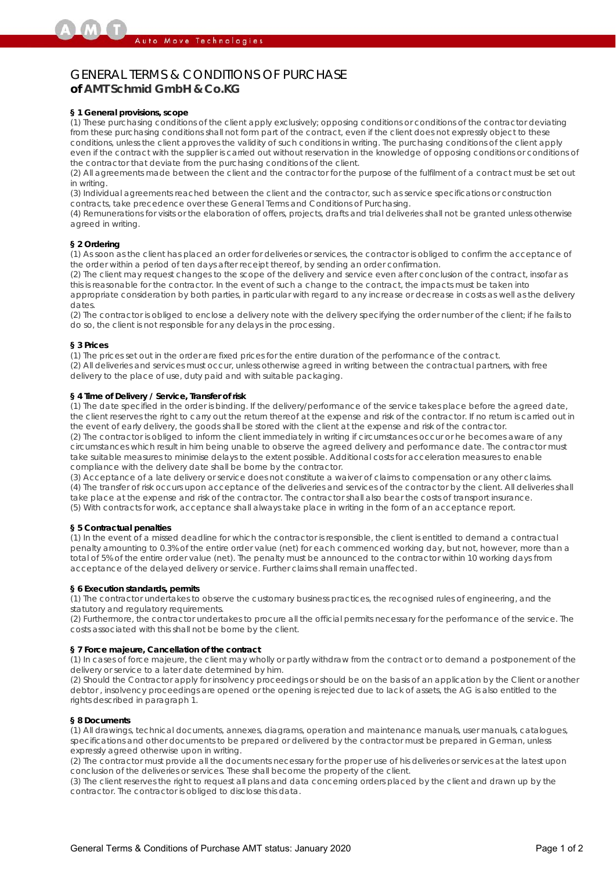# GENERAL TERMS & CONDITIONS OF PURCHASE **of AMT Schmid GmbH & Co.KG**

#### **§ 1 General provisions, scope**

(1) These purchasing conditions of the client apply exclusively; opposing conditions or conditions of the contractor deviating from these purchasing conditions shall not form part of the contract, even if the client does not expressly object to these conditions, unless the client approves the validity of such conditions in writing. The purchasing conditions of the client apply even if the contract with the supplier is carried out without reservation in the knowledge of opposing conditions or conditions of the contractor that deviate from the purchasing conditions of the client.

(2) All agreements made between the client and the contractor for the purpose of the fulfilment of a contract must be set out in writing.

(3) Individual agreements reached between the client and the contractor, such as service specifications or construction contracts, take precedence over these General Terms and Conditions of Purchasing.

(4) Remunerations for visits or the elaboration of offers, projects, drafts and trial deliveries shall not be granted unless otherwise agreed in writing.

# **§ 2 Ordering**

(1) As soon as the client has placed an order for deliveries or services, the contractor is obliged to confirm the acceptance of the order within a period of ten days after receipt thereof, by sending an order confirmation.

(2) The client may request changes to the scope of the delivery and service even after conclusion of the contract, insofar as this is reasonable for the contractor. In the event of such a change to the contract, the impacts must be taken into appropriate consideration by both parties, in particular with regard to any increase or decrease in costs as well as the delivery dates.

(2) The contractor is obliged to enclose a delivery note with the delivery specifying the order number of the client; if he fails to do so, the client is not responsible for any delays in the processing.

#### **§ 3 Prices**

(1) The prices set out in the order are fixed prices for the entire duration of the performance of the contract.

(2) All deliveries and services must occur, unless otherwise agreed in writing between the contractual partners, with free delivery to the place of use, duty paid and with suitable packaging.

#### **§ 4 Time of Delivery / Service, Transfer of risk**

(1) The date specified in the order is binding. If the delivery/performance of the service takes place before the agreed date, the client reserves the right to carry out the return thereof at the expense and risk of the contractor. If no return is carried out in the event of early delivery, the goods shall be stored with the client at the expense and risk of the contractor.

(2) The contractor is obliged to inform the client immediately in writing if circumstances occur or he becomes aware of any circumstances which result in him being unable to observe the agreed delivery and performance date. The contractor must take suitable measures to minimise delays to the extent possible. Additional costs for acceleration measures to enable compliance with the delivery date shall be borne by the contractor.

(3) Acceptance of a late delivery or service does not constitute a waiver of claims to compensation or any other claims. (4) The transfer of risk occurs upon acceptance of the deliveries and services of the contractor by the client. All deliveries shall take place at the expense and risk of the contractor. The contractor shall also bear the costs of transport insurance. (5) With contracts for work, acceptance shall always take place in writing in the form of an acceptance report.

#### **§ 5 Contractual penalties**

(1) In the event of a missed deadline for which the contractor is responsible, the client is entitled to demand a contractual penalty amounting to 0.3% of the entire order value (net) for each commenced working day, but not, however, more than a total of 5% of the entire order value (net). The penalty must be announced to the contractor within 10 working days from acceptance of the delayed delivery or service. Further claims shall remain unaffected.

# **§ 6 Execution standards, permits**

(1) The contractor undertakes to observe the customary business practices, the recognised rules of engineering, and the statutory and regulatory requirements.

(2) Furthermore, the contractor undertakes to procure all the official permits necessary for the performance of the service. The costs associated with this shall not be borne by the client.

# **§ 7 Force majeure, Cancellation of the contract**

(1) In cases of force majeure, the client may wholly or partly withdraw from the contract or to demand a postponement of the delivery or service to a later date determined by him.

(2) Should the Contractor apply for insolvency proceedings or should be on the basis of an application by the Client or another debtor , insolvency proceedings are opened or the opening is rejected due to lack of assets, the AG is also entitled to the rights described in paragraph 1.

# **§ 8 Documents**

(1) All drawings, technical documents, annexes, diagrams, operation and maintenance manuals, user manuals, catalogues, specifications and other documents to be prepared or delivered by the contractor must be prepared in German, unless expressly agreed otherwise upon in writing.

(2) The contractor must provide all the documents necessary for the proper use of his deliveries or services at the latest upon conclusion of the deliveries or services. These shall become the property of the client.

(3) The client reserves the right to request all plans and data concerning orders placed by the client and drawn up by the contractor. The contractor is obliged to disclose this data.